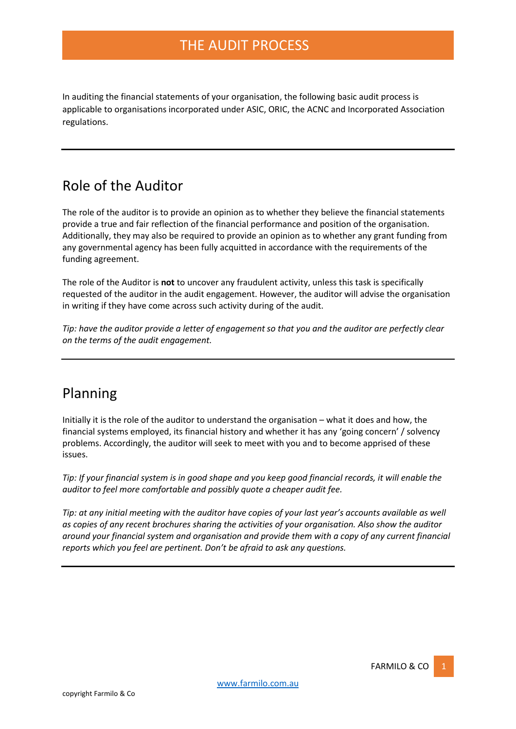In auditing the financial statements of your organisation, the following basic audit process is applicable to organisations incorporated under ASIC, ORIC, the ACNC and Incorporated Association regulations.

# Role of the Auditor

The role of the auditor is to provide an opinion as to whether they believe the financial statements provide a true and fair reflection of the financial performance and position of the organisation. Additionally, they may also be required to provide an opinion as to whether any grant funding from any governmental agency has been fully acquitted in accordance with the requirements of the funding agreement.

The role of the Auditor is **not** to uncover any fraudulent activity, unless this task is specifically requested of the auditor in the audit engagement. However, the auditor will advise the organisation in writing if they have come across such activity during of the audit.

*Tip: have the auditor provide a letter of engagement so that you and the auditor are perfectly clear on the terms of the audit engagement.*

# Planning

Initially it is the role of the auditor to understand the organisation – what it does and how, the financial systems employed, its financial history and whether it has any 'going concern' / solvency problems. Accordingly, the auditor will seek to meet with you and to become apprised of these issues.

*Tip: If your financial system is in good shape and you keep good financial records, it will enable the auditor to feel more comfortable and possibly quote a cheaper audit fee.*

*Tip: at any initial meeting with the auditor have copies of your last year's accounts available as well as copies of any recent brochures sharing the activities of your organisation. Also show the auditor around your financial system and organisation and provide them with a copy of any current financial reports which you feel are pertinent. Don't be afraid to ask any questions.*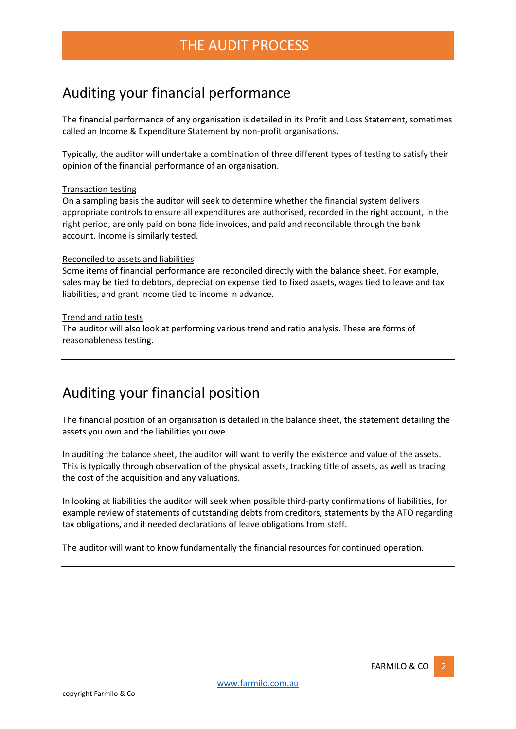# Auditing your financial performance

The financial performance of any organisation is detailed in its Profit and Loss Statement, sometimes called an Income & Expenditure Statement by non-profit organisations.

Typically, the auditor will undertake a combination of three different types of testing to satisfy their opinion of the financial performance of an organisation.

#### Transaction testing

On a sampling basis the auditor will seek to determine whether the financial system delivers appropriate controls to ensure all expenditures are authorised, recorded in the right account, in the right period, are only paid on bona fide invoices, and paid and reconcilable through the bank account. Income is similarly tested.

#### Reconciled to assets and liabilities

Some items of financial performance are reconciled directly with the balance sheet. For example, sales may be tied to debtors, depreciation expense tied to fixed assets, wages tied to leave and tax liabilities, and grant income tied to income in advance.

#### Trend and ratio tests

The auditor will also look at performing various trend and ratio analysis. These are forms of reasonableness testing.

### Auditing your financial position

The financial position of an organisation is detailed in the balance sheet, the statement detailing the assets you own and the liabilities you owe.

In auditing the balance sheet, the auditor will want to verify the existence and value of the assets. This is typically through observation of the physical assets, tracking title of assets, as well as tracing the cost of the acquisition and any valuations.

In looking at liabilities the auditor will seek when possible third-party confirmations of liabilities, for example review of statements of outstanding debts from creditors, statements by the ATO regarding tax obligations, and if needed declarations of leave obligations from staff.

The auditor will want to know fundamentally the financial resources for continued operation.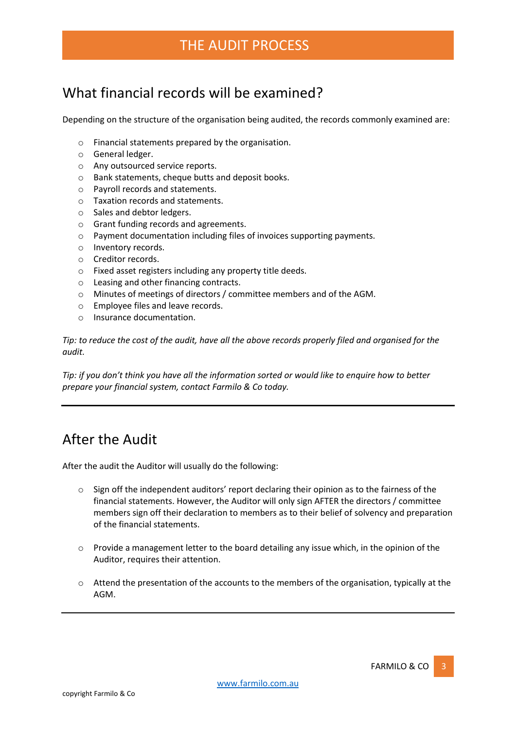# THE AUDIT PROCESS

# What financial records will be examined?

Depending on the structure of the organisation being audited, the records commonly examined are:

- o Financial statements prepared by the organisation.
- o General ledger.
- o Any outsourced service reports.
- o Bank statements, cheque butts and deposit books.
- o Payroll records and statements.
- o Taxation records and statements.
- o Sales and debtor ledgers.
- o Grant funding records and agreements.
- o Payment documentation including files of invoices supporting payments.
- o Inventory records.
- o Creditor records.
- o Fixed asset registers including any property title deeds.
- o Leasing and other financing contracts.
- o Minutes of meetings of directors / committee members and of the AGM.
- o Employee files and leave records.
- o Insurance documentation.

*Tip: to reduce the cost of the audit, have all the above records properly filed and organised for the audit.*

*Tip: if you don't think you have all the information sorted or would like to enquire how to better prepare your financial system, contact Farmilo & Co today.*

# After the Audit

After the audit the Auditor will usually do the following:

- $\circ$  Sign off the independent auditors' report declaring their opinion as to the fairness of the financial statements. However, the Auditor will only sign AFTER the directors / committee members sign off their declaration to members as to their belief of solvency and preparation of the financial statements.
- $\circ$  Provide a management letter to the board detailing any issue which, in the opinion of the Auditor, requires their attention.
- $\circ$  Attend the presentation of the accounts to the members of the organisation, typically at the AGM.